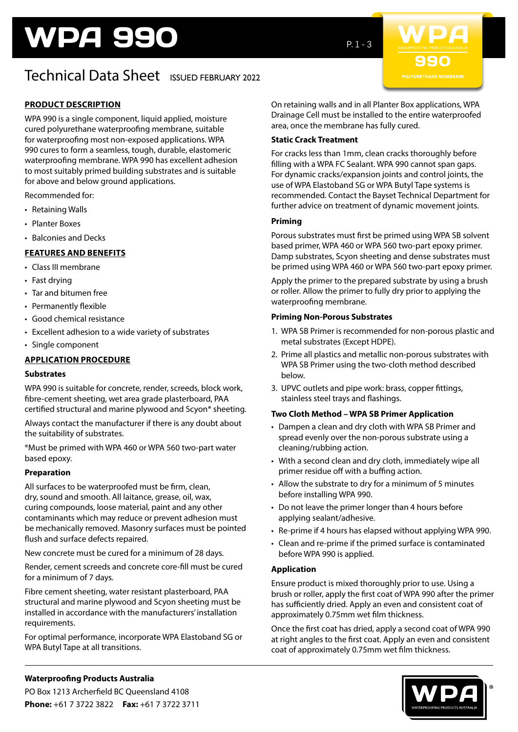# WPA 990

# Technical Data Sheet ISSUED FEBRUARY 2022

# **PRODUCT DESCRIPTION**

WPA 990 is a single component, liquid applied, moisture cured polyurethane waterproofing membrane, suitable for waterproofing most non-exposed applications. WPA 990 cures to form a seamless, tough, durable, elastomeric waterproofing membrane. WPA 990 has excellent adhesion to most suitably primed building substrates and is suitable for above and below ground applications.

Recommended for:

- Retaining Walls
- Planter Boxes
- Balconies and Decks

# **FEATURES AND BENEFITS**

- Class III membrane
- Fast drying
- Tar and bitumen free
- Permanently flexible
- Good chemical resistance
- Excellent adhesion to a wide variety of substrates
- Single component

### **APPLICATION PROCEDURE**

#### **Substrates**

WPA 990 is suitable for concrete, render, screeds, block work, fibre-cement sheeting, wet area grade plasterboard, PAA certified structural and marine plywood and Scyon\* sheeting.

Always contact the manufacturer if there is any doubt about the suitability of substrates.

\*Must be primed with WPA 460 or WPA 560 two-part water based epoxy.

#### **Preparation**

All surfaces to be waterproofed must be firm, clean, dry, sound and smooth. All laitance, grease, oil, wax, curing compounds, loose material, paint and any other contaminants which may reduce or prevent adhesion must be mechanically removed. Masonry surfaces must be pointed flush and surface defects repaired.

New concrete must be cured for a minimum of 28 days.

Render, cement screeds and concrete core-fill must be cured for a minimum of 7 days.

Fibre cement sheeting, water resistant plasterboard, PAA structural and marine plywood and Scyon sheeting must be installed in accordance with the manufacturers' installation requirements.

For optimal performance, incorporate WPA Elastoband SG or WPA Butyl Tape at all transitions.

 $P. 1 - 3$ 



On retaining walls and in all Planter Box applications, WPA Drainage Cell must be installed to the entire waterproofed area, once the membrane has fully cured.

#### **Static Crack Treatment**

For cracks less than 1mm, clean cracks thoroughly before filling with a WPA FC Sealant. WPA 990 cannot span gaps. For dynamic cracks/expansion joints and control joints, the use of WPA Elastoband SG or WPA Butyl Tape systems is recommended. Contact the Bayset Technical Department for further advice on treatment of dynamic movement joints.

#### **Priming**

Porous substrates must first be primed using WPA SB solvent based primer, WPA 460 or WPA 560 two-part epoxy primer. Damp substrates, Scyon sheeting and dense substrates must be primed using WPA 460 or WPA 560 two-part epoxy primer.

Apply the primer to the prepared substrate by using a brush or roller. Allow the primer to fully dry prior to applying the waterproofing membrane.

#### **Priming Non-Porous Substrates**

- 1. WPA SB Primer is recommended for non-porous plastic and metal substrates (Except HDPE).
- 2. Prime all plastics and metallic non-porous substrates with WPA SB Primer using the two-cloth method described below.
- 3. UPVC outlets and pipe work: brass, copper fittings, stainless steel trays and flashings.

#### **Two Cloth Method – WPA SB Primer Application**

- Dampen a clean and dry cloth with WPA SB Primer and spread evenly over the non-porous substrate using a cleaning/rubbing action.
- With a second clean and dry cloth, immediately wipe all primer residue off with a buffing action.
- Allow the substrate to dry for a minimum of 5 minutes before installing WPA 990.
- Do not leave the primer longer than 4 hours before applying sealant/adhesive.
- Re-prime if 4 hours has elapsed without applying WPA 990.
- Clean and re-prime if the primed surface is contaminated before WPA 990 is applied.

#### **Application**

Ensure product is mixed thoroughly prior to use. Using a brush or roller, apply the first coat of WPA 990 after the primer has sufficiently dried. Apply an even and consistent coat of approximately 0.75mm wet film thickness.

Once the first coat has dried, apply a second coat of WPA 990 at right angles to the first coat. Apply an even and consistent coat of approximately 0.75mm wet film thickness.



# **Waterproofing Products Australia**

PO Box 1213 Archerfield BC Queensland 4108 **Phone:** +61 7 3722 3822 **Fax:** +61 7 3722 3711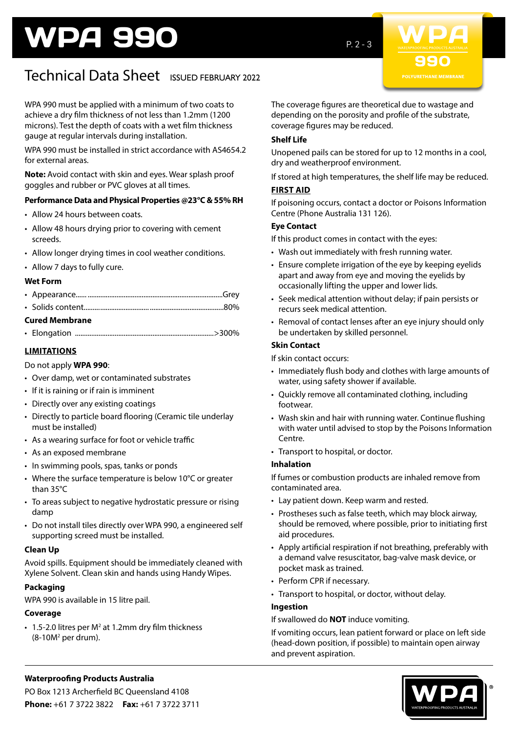# WPA 990

 $P. 2 - 3$ 



# Technical Data Sheet ISSUED FEBRUARY 2022

WPA 990 must be applied with a minimum of two coats to achieve a dry film thickness of not less than 1.2mm (1200 microns). Test the depth of coats with a wet film thickness gauge at regular intervals during installation.

WPA 990 must be installed in strict accordance with AS4654.2 for external areas.

**Note:** Avoid contact with skin and eyes. Wear splash proof goggles and rubber or PVC gloves at all times.

# **Performance Data and Physical Properties @23°C & 55% RH**

- Allow 24 hours between coats.
- Allow 48 hours drying prior to covering with cement screeds.
- Allow longer drying times in cool weather conditions.
- Allow 7 days to fully cure.

#### **Wet Form**

| <b>Cured Membrane</b> |  |  |  |
|-----------------------|--|--|--|
|                       |  |  |  |

**LIMITATIONS**

### Do not apply **WPA 990**:

- Over damp, wet or contaminated substrates
- If it is raining or if rain is imminent
- Directly over any existing coatings
- Directly to particle board flooring (Ceramic tile underlay must be installed)
- As a wearing surface for foot or vehicle traffic
- As an exposed membrane
- In swimming pools, spas, tanks or ponds
- Where the surface temperature is below 10°C or greater than 35°C
- To areas subject to negative hydrostatic pressure or rising damp
- Do not install tiles directly over WPA 990, a engineered self supporting screed must be installed.

#### **Clean Up**

Avoid spills. Equipment should be immediately cleaned with Xylene Solvent. Clean skin and hands using Handy Wipes.

#### **Packaging**

WPA 990 is available in 15 litre pail.

#### **Coverage**

 $\cdot$  1.5-2.0 litres per M<sup>2</sup> at 1.2mm dry film thickness  $(8-10M<sup>2</sup>$  per drum).

The coverage figures are theoretical due to wastage and depending on the porosity and profile of the substrate, coverage figures may be reduced.

### **Shelf Life**

Unopened pails can be stored for up to 12 months in a cool, dry and weatherproof environment.

If stored at high temperatures, the shelf life may be reduced.

#### **FIRST AID**

If poisoning occurs, contact a doctor or Poisons Information Centre (Phone Australia 131 126).

# **Eye Contact**

If this product comes in contact with the eyes:

- Wash out immediately with fresh running water.
- Ensure complete irrigation of the eye by keeping eyelids apart and away from eye and moving the eyelids by occasionally lifting the upper and lower lids.
- Seek medical attention without delay; if pain persists or recurs seek medical attention.
- Removal of contact lenses after an eye injury should only be undertaken by skilled personnel.

#### **Skin Contact**

If skin contact occurs:

- Immediately flush body and clothes with large amounts of water, using safety shower if available.
- Quickly remove all contaminated clothing, including footwear.
- Wash skin and hair with running water. Continue flushing with water until advised to stop by the Poisons Information Centre.
- Transport to hospital, or doctor.

#### **Inhalation**

If fumes or combustion products are inhaled remove from contaminated area.

- Lay patient down. Keep warm and rested.
- Prostheses such as false teeth, which may block airway, should be removed, where possible, prior to initiating first aid procedures.
- Apply artificial respiration if not breathing, preferably with a demand valve resuscitator, bag-valve mask device, or pocket mask as trained.
- Perform CPR if necessary.
- Transport to hospital, or doctor, without delay.

#### **Ingestion**

If swallowed do **NOT** induce vomiting.

If vomiting occurs, lean patient forward or place on left side (head-down position, if possible) to maintain open airway and prevent aspiration.



#### **Waterproofing Products Australia** PO Box 1213 Archerfield BC Queensland 4108